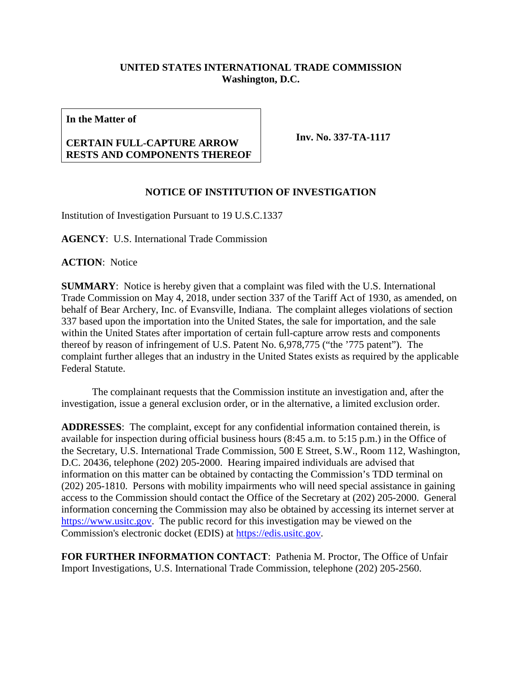## **UNITED STATES INTERNATIONAL TRADE COMMISSION Washington, D.C.**

**In the Matter of**

## **CERTAIN FULL-CAPTURE ARROW RESTS AND COMPONENTS THEREOF**

**Inv. No. 337-TA-1117**

## **NOTICE OF INSTITUTION OF INVESTIGATION**

Institution of Investigation Pursuant to 19 U.S.C.1337

**AGENCY**: U.S. International Trade Commission

**ACTION**: Notice

**SUMMARY**: Notice is hereby given that a complaint was filed with the U.S. International Trade Commission on May 4, 2018, under section 337 of the Tariff Act of 1930, as amended, on behalf of Bear Archery, Inc. of Evansville, Indiana. The complaint alleges violations of section 337 based upon the importation into the United States, the sale for importation, and the sale within the United States after importation of certain full-capture arrow rests and components thereof by reason of infringement of U.S. Patent No. 6,978,775 ("the '775 patent"). The complaint further alleges that an industry in the United States exists as required by the applicable Federal Statute.

The complainant requests that the Commission institute an investigation and, after the investigation, issue a general exclusion order, or in the alternative, a limited exclusion order.

**ADDRESSES**: The complaint, except for any confidential information contained therein, is available for inspection during official business hours (8:45 a.m. to 5:15 p.m.) in the Office of the Secretary, U.S. International Trade Commission, 500 E Street, S.W., Room 112, Washington, D.C. 20436, telephone (202) 205-2000. Hearing impaired individuals are advised that information on this matter can be obtained by contacting the Commission's TDD terminal on (202) 205-1810. Persons with mobility impairments who will need special assistance in gaining access to the Commission should contact the Office of the Secretary at (202) 205-2000. General information concerning the Commission may also be obtained by accessing its internet server at [https://www.usitc.gov.](https://www.usitc.gov/) The public record for this investigation may be viewed on the Commission's electronic docket (EDIS) at [https://edis.usitc.gov.](https://edis.usitc.gov/)

**FOR FURTHER INFORMATION CONTACT**: Pathenia M. Proctor, The Office of Unfair Import Investigations, U.S. International Trade Commission, telephone (202) 205-2560.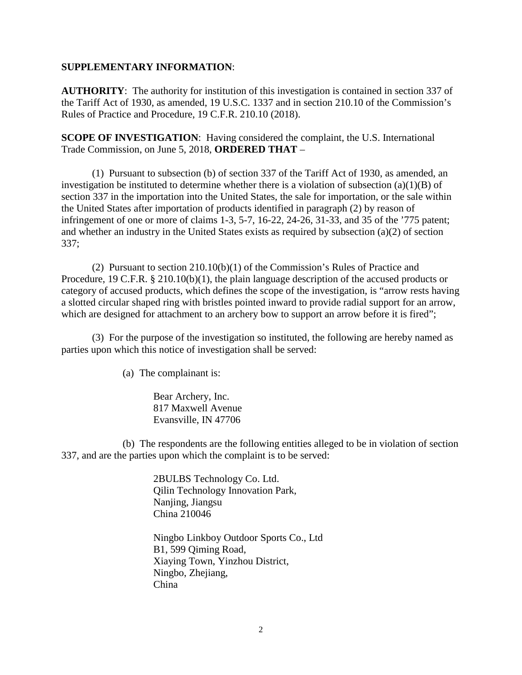## **SUPPLEMENTARY INFORMATION**:

**AUTHORITY**: The authority for institution of this investigation is contained in section 337 of the Tariff Act of 1930, as amended, 19 U.S.C. 1337 and in section 210.10 of the Commission's Rules of Practice and Procedure, 19 C.F.R. 210.10 (2018).

**SCOPE OF INVESTIGATION**: Having considered the complaint, the U.S. International Trade Commission, on June 5, 2018, **ORDERED THAT** –

(1) Pursuant to subsection (b) of section 337 of the Tariff Act of 1930, as amended, an investigation be instituted to determine whether there is a violation of subsection  $(a)(1)(B)$  of section 337 in the importation into the United States, the sale for importation, or the sale within the United States after importation of products identified in paragraph (2) by reason of infringement of one or more of claims 1-3, 5-7, 16-22, 24-26, 31-33, and 35 of the '775 patent; and whether an industry in the United States exists as required by subsection (a)(2) of section 337;

(2) Pursuant to section 210.10(b)(1) of the Commission's Rules of Practice and Procedure, 19 C.F.R. § 210.10(b)(1), the plain language description of the accused products or category of accused products, which defines the scope of the investigation, is "arrow rests having a slotted circular shaped ring with bristles pointed inward to provide radial support for an arrow, which are designed for attachment to an archery bow to support an arrow before it is fired";

(3) For the purpose of the investigation so instituted, the following are hereby named as parties upon which this notice of investigation shall be served:

(a) The complainant is:

Bear Archery, Inc. 817 Maxwell Avenue Evansville, IN 47706

(b) The respondents are the following entities alleged to be in violation of section 337, and are the parties upon which the complaint is to be served:

> 2BULBS Technology Co. Ltd. Qilin Technology Innovation Park, Nanjing, Jiangsu China 210046

Ningbo Linkboy Outdoor Sports Co., Ltd B1, 599 Qiming Road, Xiaying Town, Yinzhou District, Ningbo, Zhejiang, China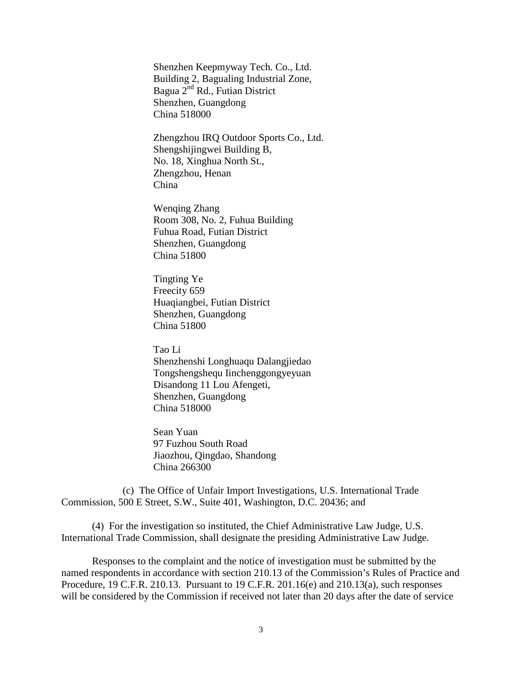Shenzhen Keepmyway Tech. Co., Ltd. Building 2, Bagualing Industrial Zone, Bagua 2nd Rd., Futian District Shenzhen, Guangdong China 518000

Zhengzhou IRQ Outdoor Sports Co., Ltd. Shengshijingwei Building B, No. 18, Xinghua North St., Zhengzhou, Henan China

Wenqing Zhang Room 308, No. 2, Fuhua Building Fuhua Road, Futian District Shenzhen, Guangdong China 51800

Tingting Ye Freecity 659 Huaqiangbei, Futian District Shenzhen, Guangdong China 51800

Tao Li Shenzhenshi Longhuaqu Dalangjiedao Tongshengshequ Iinchenggongyeyuan Disandong 11 Lou Afengeti, Shenzhen, Guangdong China 518000

Sean Yuan 97 Fuzhou South Road Jiaozhou, Qingdao, Shandong China 266300

(c) The Office of Unfair Import Investigations, U.S. International Trade Commission, 500 E Street, S.W., Suite 401, Washington, D.C. 20436; and

(4) For the investigation so instituted, the Chief Administrative Law Judge, U.S. International Trade Commission, shall designate the presiding Administrative Law Judge.

Responses to the complaint and the notice of investigation must be submitted by the named respondents in accordance with section 210.13 of the Commission's Rules of Practice and Procedure, 19 C.F.R. 210.13. Pursuant to 19 C.F.R. 201.16(e) and 210.13(a), such responses will be considered by the Commission if received not later than 20 days after the date of service